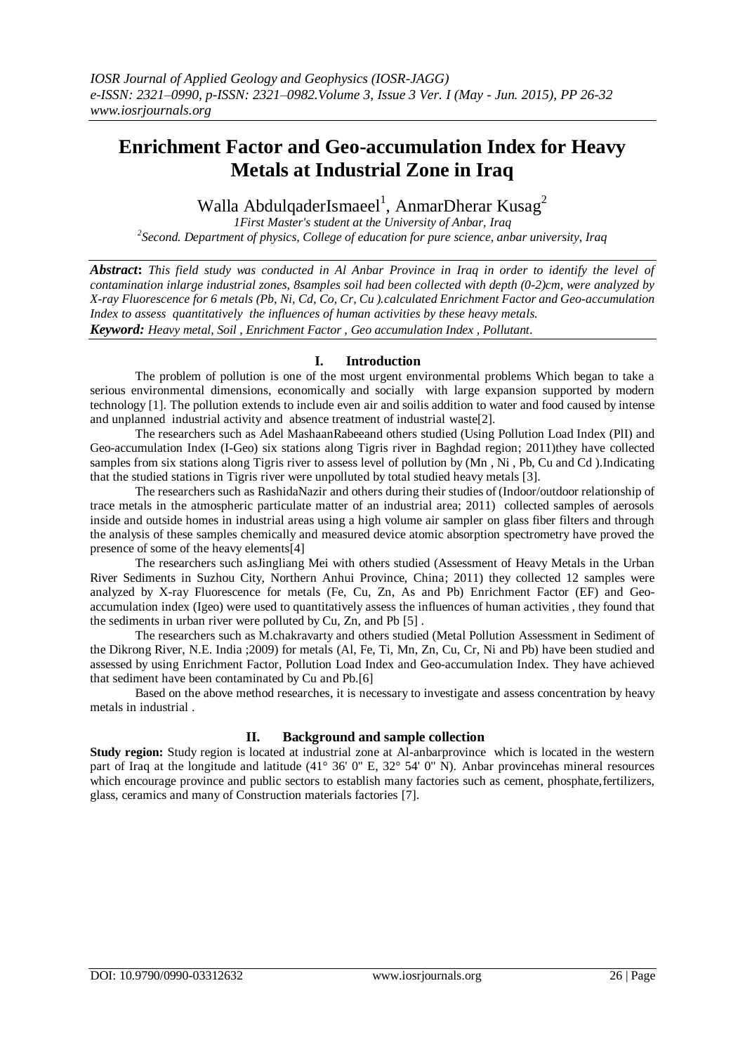# **Enrichment Factor and Geo-accumulation Index for Heavy Metals at Industrial Zone in Iraq**

Walla AbdulqaderIsmaeel<sup>1</sup>, AnmarDherar Kusag<sup>2</sup>

*1First Master's student at the University of Anbar, Iraq 2 Second. Department of physics, College of education for pure science, anbar university, Iraq*

*Abstract***:** *This field study was conducted in Al Anbar Province in Iraq in order to identify the level of contamination inlarge industrial zones, 8samples soil had been collected with depth (0-2)cm, were analyzed by X-ray Fluorescence for 6 metals (Pb, Ni, Cd, Co, Cr, Cu ).calculated Enrichment Factor and Geo-accumulation Index to assess quantitatively the influences of human activities by these heavy metals. Keyword: Heavy metal, Soil , Enrichment Factor , Geo accumulation Index , Pollutant.*

## **I. Introduction**

The problem of pollution is one of the most urgent environmental problems Which began to take a serious environmental dimensions, economically and socially with large expansion supported by modern technology [1]. The pollution extends to include even air and soilis addition to water and food caused by intense and unplanned industrial activity and absence treatment of industrial waste[2].

The researchers such as Adel MashaanRabeeand others studied (Using Pollution Load Index (PlI) and Geo-accumulation Index (I-Geo) six stations along Tigris river in Baghdad region; 2011)they have collected samples from six stations along Tigris river to assess level of pollution by (Mn, Ni, Pb, Cu and Cd).Indicating that the studied stations in Tigris river were unpolluted by total studied heavy metals [3].

The researchers such as RashidaNazir and others during their studies of (Indoor/outdoor relationship of trace metals in the atmospheric particulate matter of an industrial area; 2011) collected samples of aerosols inside and outside homes in industrial areas using a high volume air sampler on glass fiber filters and through the analysis of these samples chemically and measured device atomic absorption spectrometry have proved the presence of some of the heavy elements[4]

The researchers such asJingliang Mei with others studied (Assessment of Heavy Metals in the Urban River Sediments in Suzhou City, Northern Anhui Province, China; 2011) they collected 12 samples were analyzed by X-ray Fluorescence for metals (Fe, Cu, Zn, As and Pb) Enrichment Factor (EF) and Geoaccumulation index (Igeo) were used to quantitatively assess the influences of human activities , they found that the sediments in urban river were polluted by Cu, Zn, and Pb [5] .

The researchers such as M.chakravarty and others studied (Metal Pollution Assessment in Sediment of the Dikrong River, N.E. India ;2009) for metals (Al, Fe, Ti, Mn, Zn, Cu, Cr, Ni and Pb) have been studied and assessed by using Enrichment Factor, Pollution Load Index and Geo-accumulation Index. They have achieved that sediment have been contaminated by Cu and Pb.[6]

Based on the above method researches, it is necessary to investigate and assess concentration by heavy metals in industrial .

# **II. Background and sample collection**

**Study region:** Study region is located at industrial zone at Al-anbarprovince which is located in the western part of Iraq at the longitude and latitude (41° 36' 0" E, 32° 54' 0" N). Anbar provincehas mineral resources which encourage province and public sectors to establish many factories such as cement, phosphate,fertilizers, glass, ceramics and many of Construction materials factories [7].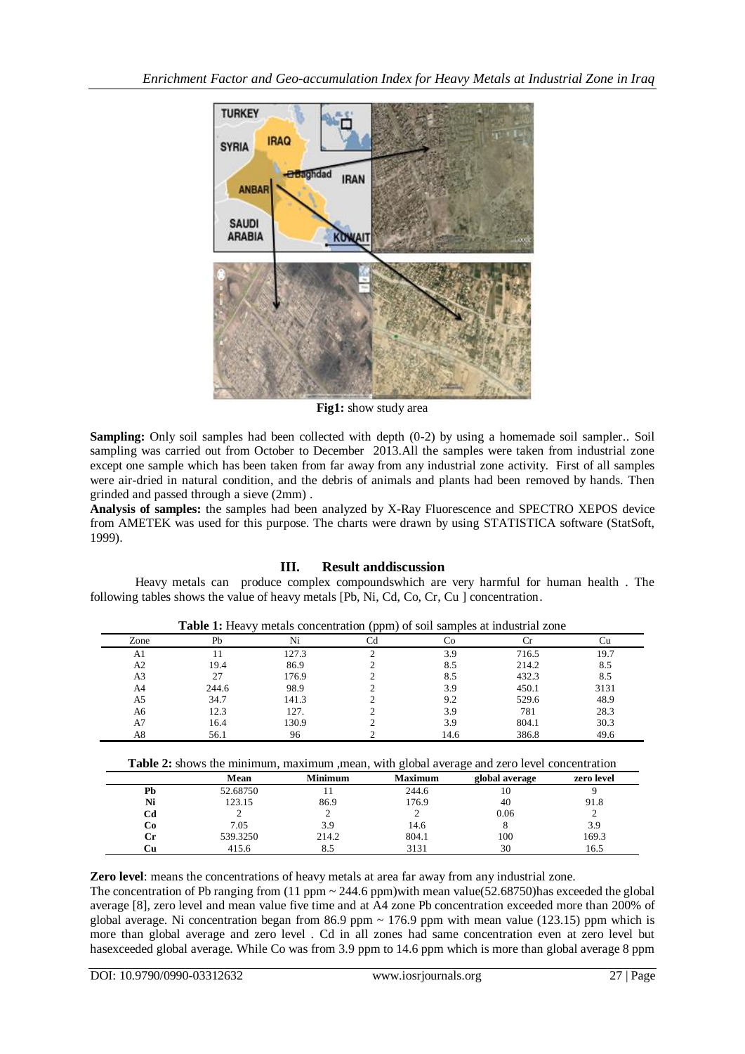

**Fig1:** show study area

**Sampling:** Only soil samples had been collected with depth (0-2) by using a homemade soil sampler.. Soil sampling was carried out from October to December 2013.All the samples were taken from industrial zone except one sample which has been taken from far away from any industrial zone activity. First of all samples were air-dried in natural condition, and the debris of animals and plants had been removed by hands. Then grinded and passed through a sieve (2mm) .

**Analysis of samples:** the samples had been analyzed by X-Ray Fluorescence and SPECTRO XEPOS device from AMETEK was used for this purpose. The charts were drawn by using STATISTICA software (StatSoft, 1999).

# **III. Result anddiscussion**

Heavy metals can produce complex compoundswhich are very harmful for human health . The following tables shows the value of heavy metals [Pb, Ni, Cd, Co, Cr, Cu ] concentration.

|                |       |       |      | <b>Table 1:</b> Heavy metals concentration (ppm) of soil samples at moustrial zone |      |
|----------------|-------|-------|------|------------------------------------------------------------------------------------|------|
| Zone           | Pb    | Ni    |      |                                                                                    | Γu   |
| A1             |       | 127.3 | 3.9  | 716.5                                                                              | 19.7 |
| A2             | 19.4  | 86.9  | 8.5  | 214.2                                                                              | 8.5  |
| A <sub>3</sub> |       | 176.9 | 8.5  | 432.3                                                                              | 8.5  |
| A4             | 244.6 | 98.9  | 3.9  | 450.1                                                                              | 3131 |
| A5             | 34.7  | 141.3 | 9.2  | 529.6                                                                              | 48.9 |
| A6             | 12.3  | 127.  | 3.9  | 781                                                                                | 28.3 |
| A7             | 16.4  | 130.9 | 3.9  | 804.1                                                                              | 30.3 |
| A8             | 56.1  | 96    | 14.6 | 386.8                                                                              | 49.6 |

**Table 1:** Heavy metals concentration (ppm) of soil samples at industrial zone

|  |  |  |  |  | Table 2: shows the minimum, maximum , mean, with global average and zero level concentration |
|--|--|--|--|--|----------------------------------------------------------------------------------------------|
|  |  |  |  |  |                                                                                              |

|    | Mean     | <b>Minimum</b> | <b>Maximum</b> | global average | zero level |
|----|----------|----------------|----------------|----------------|------------|
| Pb | 52.68750 |                | 244.6          | ιv             |            |
| Ni | 123.15   | 86.9           | 176.9          | 40             | 91.8       |
| Cd |          |                |                | 0.06           |            |
| Cо | 7.05     | 3.9            | 14.6           |                | 3.9        |
| Сr | 539.3250 | 214.2          | 804.1          | 100            | 169.3      |
| ∴u | 415.6    |                | 3131           | 30             | 16.5       |

**Zero level**: means the concentrations of heavy metals at area far away from any industrial zone.

The concentration of Pb ranging from  $(11$  ppm  $\sim 244.6$  ppm) with mean value(52.68750)has exceeded the global average [8], zero level and mean value five time and at A4 zone Pb concentration exceeded more than 200% of global average. Ni concentration began from 86.9 ppm  $\sim$  176.9 ppm with mean value (123.15) ppm which is more than global average and zero level . Cd in all zones had same concentration even at zero level but hasexceeded global average. While Co was from 3.9 ppm to 14.6 ppm which is more than global average 8 ppm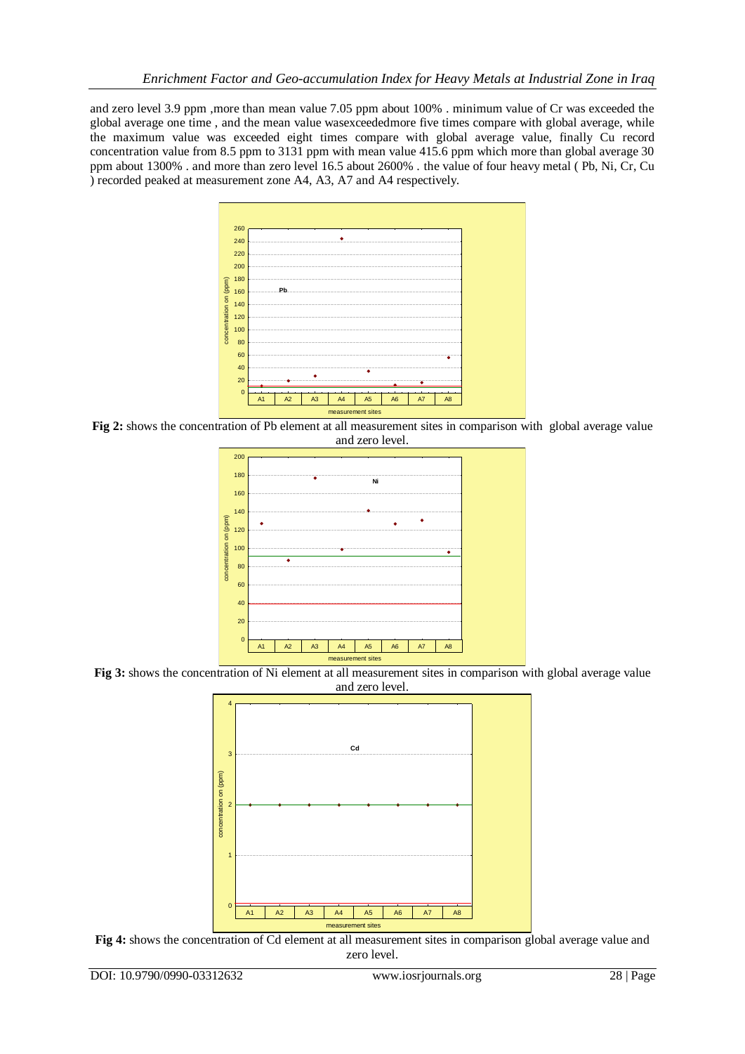and zero level 3.9 ppm ,more than mean value 7.05 ppm about 100% . minimum value of Cr was exceeded the global average one time , and the mean value wasexceededmore five times compare with global average, while the maximum value was exceeded eight times compare with global average value, finally Cu record concentration value from 8.5 ppm to 3131 ppm with mean value 415.6 ppm which more than global average 30 ppm about 1300% . and more than zero level 16.5 about 2600% . the value of four heavy metal ( Pb, Ni, Cr, Cu ) recorded peaked at measurement zone A4, A3, A7 and A4 respectively.



**Fig 2:** shows the concentration of Pb element at all measurement sites in comparison with global average value and zero level.



**Fig 3:** shows the concentration of Ni element at all measurement sites in comparison with global average value



**Fig 4:** shows the concentration of Cd element at all measurement sites in comparison global average value and zero level.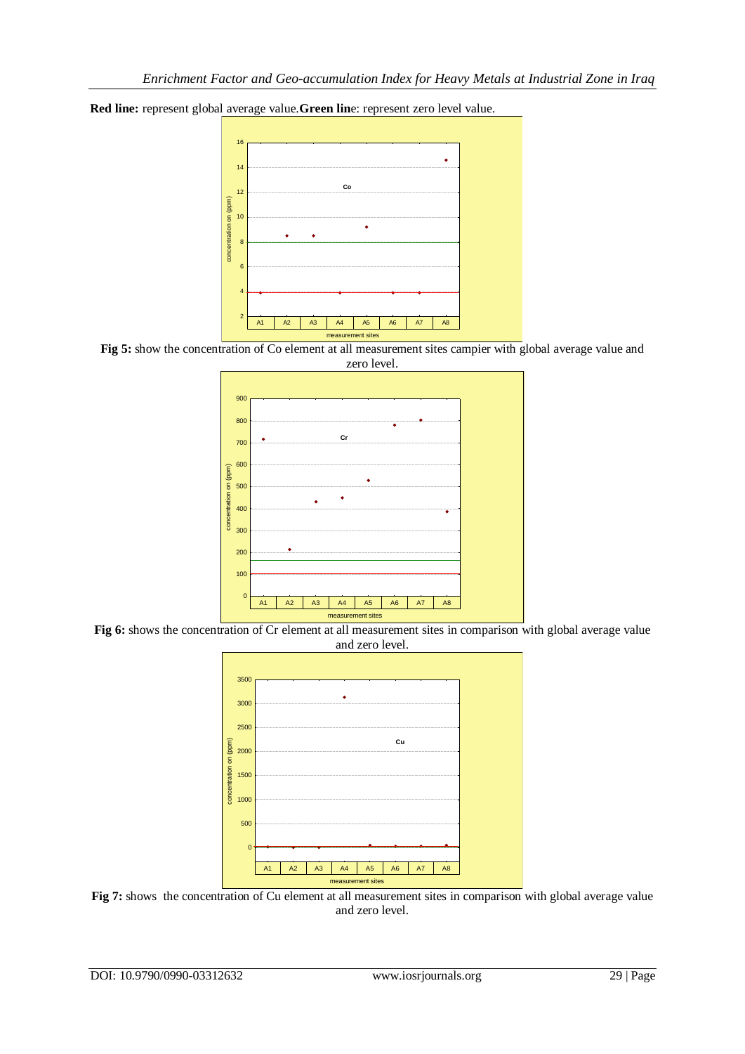

**Red line:** represent global average value.**Green lin**e: represent zero level value.

**Fig 5:** show the concentration of Co element at all measurement sites campier with global average value and zero level.



Fig 6: shows the concentration of Cr element at all measurement sites in comparison with global average value and zero level.



Fig 7: shows the concentration of Cu element at all measurement sites in comparison with global average value and zero level.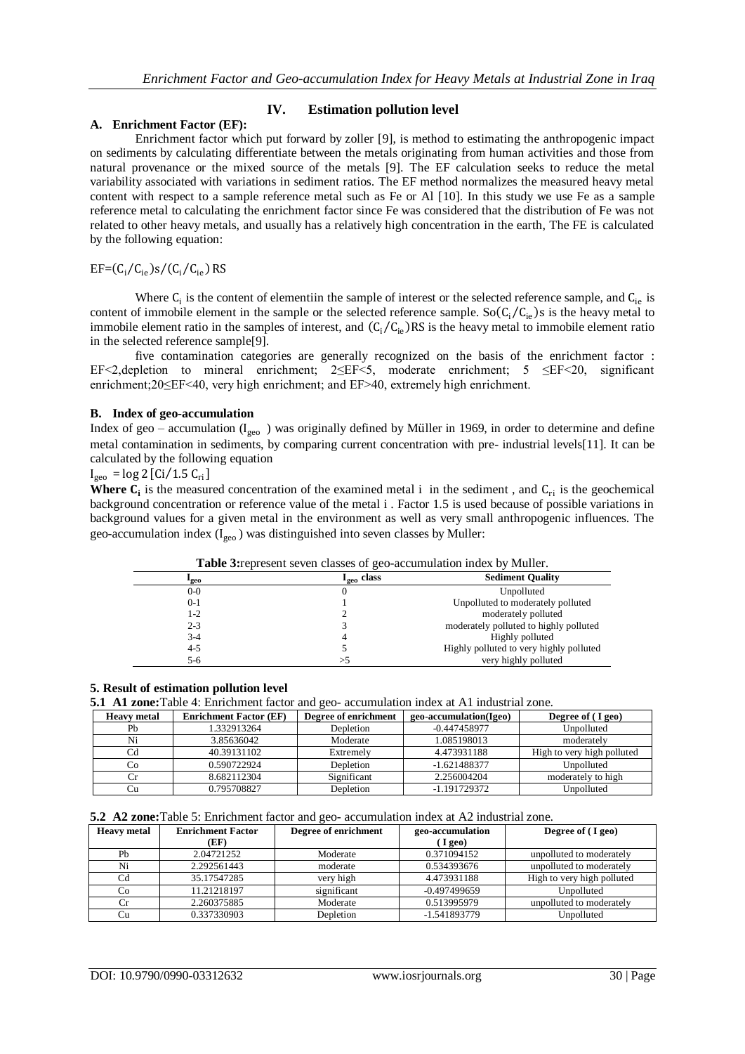## **IV. Estimation pollution level**

### **A. Enrichment Factor (EF):**

Enrichment factor which put forward by zoller [9], is method to estimating the anthropogenic impact on sediments by calculating differentiate between the metals originating from human activities and those from natural provenance or the mixed source of the metals [9]. The EF calculation seeks to reduce the metal variability associated with variations in sediment ratios. The EF method normalizes the measured heavy metal content with respect to a sample reference metal such as Fe or Al [10]. In this study we use Fe as a sample reference metal to calculating the enrichment factor since Fe was considered that the distribution of Fe was not related to other heavy metals, and usually has a relatively high concentration in the earth, The FE is calculated by the following equation:

## $EF=(C_i/C_{ie})s/(C_i/C_{ie})$  RS

Where  $C_i$  is the content of elementiin the sample of interest or the selected reference sample, and  $C_{ie}$  is content of immobile element in the sample or the selected reference sample.  $\text{So}(C_i/C_{ie})$ s is the heavy metal to immobile element ratio in the samples of interest, and  $(C_i/C_{ie})RS$  is the heavy metal to immobile element ratio in the selected reference sample[9].

five contamination categories are generally recognized on the basis of the enrichment factor : EF<2,depletion to mineral enrichment; 2≤EF<5, moderate enrichment; 5 ≤EF<20, significant enrichment;20≤EF<40, very high enrichment; and EF>40, extremely high enrichment.

### **B. Index of geo-accumulation**

Index of geo – accumulation ( $I_{\text{geo}}$ ) was originally defined by Müller in 1969, in order to determine and define metal contamination in sediments, by comparing current concentration with pre- industrial levels[11]. It can be calculated by the following equation

 $I_{\text{geo}} = \log 2$  [Ci/1.5  $C_{\text{ri}}$ ]

**Where**  $C_i$  is the measured concentration of the examined metal i in the sediment, and  $C_{ri}$  is the geochemical background concentration or reference value of the metal i . Factor 1.5 is used because of possible variations in background values for a given metal in the environment as well as very small anthropogenic influences. The geo-accumulation index  $(I_{\text{geo}})$  was distinguished into seven classes by Muller:

|                  | <b>Table 3:</b> represent seven classes of geo-accumulation index by Muller. |                                         |  |  |  |  |
|------------------|------------------------------------------------------------------------------|-----------------------------------------|--|--|--|--|
| <sup>1</sup> geo | $I_{\sigma \epsilon \sigma}$ class                                           | <b>Sediment Quality</b>                 |  |  |  |  |
| $0-0$            |                                                                              | Unpolluted                              |  |  |  |  |
| $0 - 1$          |                                                                              | Unpolluted to moderately polluted       |  |  |  |  |
| 1-2              |                                                                              | moderately polluted                     |  |  |  |  |
| $2 - 3$          |                                                                              | moderately polluted to highly polluted  |  |  |  |  |
| $3-4$            |                                                                              | Highly polluted                         |  |  |  |  |
| $4 - 5$          |                                                                              | Highly polluted to very highly polluted |  |  |  |  |
| 5-6              |                                                                              | very highly polluted                    |  |  |  |  |

**Table 3:**represent seven classes of geo-accumulation index by Muller.

#### **5. Result of estimation pollution level**

**5.1 A1 zone:**Table 4: Enrichment factor and geo- accumulation index at A1 industrial zone.

| <b>Heavy</b> metal | <b>Enrichment Factor (EF)</b> | Degree of enrichment | geo-accumulation(Igeo) | Degree of (I geo)          |
|--------------------|-------------------------------|----------------------|------------------------|----------------------------|
| Ph                 | 1.332913264                   | Depletion            | $-0.447458977$         | Unpolluted                 |
| Ni                 | 3.85636042                    | Moderate             | 1.085198013            | moderately                 |
|                    | 40.39131102                   | Extremely            | 4.473931188            | High to very high polluted |
| Cо                 | 0.590722924                   | Depletion            | $-1.621488377$         | Unpolluted                 |
|                    | 8.682112304                   | Significant          | 2.256004204            | moderately to high         |
|                    | 0.795708827                   | Depletion            | $-1.191729372$         | Unpolluted                 |

**5.2 A2 zone:**Table 5: Enrichment factor and geo- accumulation index at A2 industrial zone.

| <b>Heavy</b> metal | <b>Enrichment Factor</b> | Degree of enrichment | geo-accumulation | Degree of (I geo)          |
|--------------------|--------------------------|----------------------|------------------|----------------------------|
|                    | (EF)                     |                      | $\left($ I geo)  |                            |
| Pb                 | 2.04721252               | Moderate             | 0.371094152      | unpolluted to moderately   |
| Ni                 | 2.292561443              | moderate             | 0.534393676      | unpolluted to moderately   |
| C <sub>d</sub>     | 35.17547285              | very high            | 4.473931188      | High to very high polluted |
| Co                 | 11.21218197              | significant          | $-0.497499659$   | Unpolluted                 |
| Сr                 | 2.260375885              | Moderate             | 0.513995979      | unpolluted to moderately   |
| Cu                 | 0.337330903              | Depletion            | -1.541893779     | Unpolluted                 |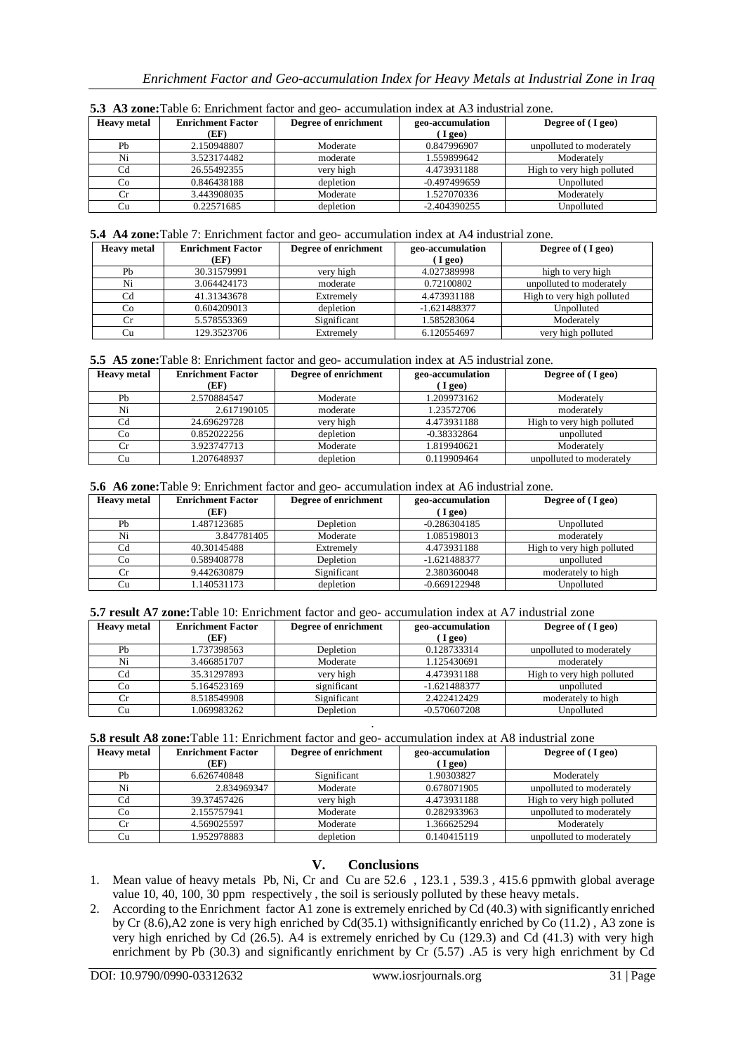| <b>Heavy</b> metal | <b>Enrichment Factor</b> | Degree of enrichment | geo-accumulation | Degree of (I geo)          |
|--------------------|--------------------------|----------------------|------------------|----------------------------|
|                    | (EF)                     |                      | I geo)           |                            |
| Pb                 | 2.150948807              | Moderate             | 0.847996907      | unpolluted to moderately   |
| Ni                 | 3.523174482              | moderate             | 1.559899642      | Moderately                 |
| Cd                 | 26.55492355              | very high            | 4.473931188      | High to very high polluted |
| Co                 | 0.846438188              | depletion            | $-0.497499659$   | Unpolluted                 |
|                    | 3.443908035              | Moderate             | 1.527070336      | Moderately                 |
| Cu                 | 0.22571685               | depletion            | $-2.404390255$   | Unpolluted                 |

**5.3 A3 zone:**Table 6: Enrichment factor and geo- accumulation index at A3 industrial zone.

#### **5.4 A4 zone:**Table 7: Enrichment factor and geo- accumulation index at A4 industrial zone.

| <b>Heavy</b> metal | <b>Enrichment Factor</b><br>(EF) | Degree of enrichment | geo-accumulation<br>$($ I geo) | Degree of (I geo)          |
|--------------------|----------------------------------|----------------------|--------------------------------|----------------------------|
| Pb                 | 30.31579991                      | very high            | 4.027389998                    | high to very high          |
| Ni                 | 3.064424173                      | moderate             | 0.72100802                     | unpolluted to moderately   |
|                    | 41.31343678                      | Extremely            | 4.473931188                    | High to very high polluted |
| Co                 | 0.604209013                      | depletion            | $-1.621488377$                 | Unpolluted                 |
|                    | 5.578553369                      | Significant          | 1.585283064                    | Moderately                 |
|                    | 129.3523706                      | Extremely            | 6.120554697                    | very high polluted         |

| 5.5 A5 zone: Table 8: Enrichment factor and geo- accumulation index at A5 industrial zone. |  |
|--------------------------------------------------------------------------------------------|--|
|--------------------------------------------------------------------------------------------|--|

| <b>Heavy metal</b> | <b>Enrichment Factor</b><br>(EF) | Degree of enrichment | geo-accumulation<br>(Igeo) | Degree of (I geo)          |
|--------------------|----------------------------------|----------------------|----------------------------|----------------------------|
| Pb                 | 2.570884547                      | Moderate             | 1.209973162                | Moderately                 |
| Ni                 | 2.617190105                      | moderate             | 1.23572706                 | moderately                 |
| $_{\rm Cd}$        | 24.69629728                      | very high            | 4.473931188                | High to very high polluted |
| Co                 | 0.852022256                      | depletion            | $-0.38332864$              | unpolluted                 |
| Cr                 | 3.923747713                      | Moderate             | 1.819940621                | Moderately                 |
| Cu                 | 1.207648937                      | depletion            | 0.119909464                | unpolluted to moderately   |

**<sup>5.6</sup> A6 zone:**Table 9: Enrichment factor and geo- accumulation index at A6 industrial zone.

| <b>Heavy</b> metal | <b>Enrichment Factor</b> | Degree of enrichment | geo-accumulation | Degree of (I geo)          |
|--------------------|--------------------------|----------------------|------------------|----------------------------|
|                    | (EF)                     |                      | $\left($ I geo)  |                            |
| Pb                 | 1.487123685              | Depletion            | $-0.286304185$   | Unpolluted                 |
| Ni                 | 3.847781405              | Moderate             | 1.085198013      | moderately                 |
| Cd                 | 40.30145488              | Extremely            | 4.473931188      | High to very high polluted |
| Co                 | 0.589408778              | Depletion            | $-1.621488377$   | unpolluted                 |
| Cr                 | 9.442630879              | Significant          | 2.380360048      | moderately to high         |
| Сu                 | 1.140531173              | depletion            | $-0.669122948$   | Unpolluted                 |

**5.7 result A7 zone:**Table 10: Enrichment factor and geo- accumulation index at A7 industrial zone

| <b>Heavy metal</b> | <b>Enrichment Factor</b> | Degree of enrichment | geo-accumulation | Degree of (I geo)          |
|--------------------|--------------------------|----------------------|------------------|----------------------------|
|                    | (EF)                     |                      | I geo)           |                            |
| Pb                 | 1.737398563              | Depletion            | 0.128733314      | unpolluted to moderately   |
| Ni                 | 3.466851707              | Moderate             | 1.125430691      | moderately                 |
| Cd                 | 35.31297893              | very high            | 4.473931188      | High to very high polluted |
| Co                 | 5.164523169              | significant          | $-1.621488377$   | unpolluted                 |
| Cr                 | 8.518549908              | Significant          | 2.422412429      | moderately to high         |
| Cu                 | 1.069983262              | Depletion            | $-0.570607208$   | Unpolluted                 |
|                    |                          |                      |                  |                            |

**5.8 result A8 zone:**Table 11: Enrichment factor and geo- accumulation index at A8 industrial zone

| <b>Heavy</b> metal | <b>Enrichment Factor</b> | Degree of enrichment | geo-accumulation | Degree of (I geo)          |
|--------------------|--------------------------|----------------------|------------------|----------------------------|
|                    | (EF)                     |                      | I geo)           |                            |
| Pb                 | 6.626740848              | Significant          | 1.90303827       | Moderately                 |
| Ni                 | 2.834969347              | Moderate             | 0.678071905      | unpolluted to moderately   |
| Cd                 | 39.37457426              | very high            | 4.473931188      | High to very high polluted |
| Co                 | 2.155757941              | Moderate             | 0.282933963      | unpolluted to moderately   |
|                    | 4.569025597              | Moderate             | 1.366625294      | Moderately                 |
| Cu                 | 1.952978883              | depletion            | 0.140415119      | unpolluted to moderately   |

# **V. Conclusions**

- 1. Mean value of heavy metals Pb, Ni, Cr and Cu are 52.6 , 123.1 , 539.3 , 415.6 ppmwith global average value 10, 40, 100, 30 ppm respectively , the soil is seriously polluted by these heavy metals.
- 2. According to the Enrichment factor A1 zone is extremely enriched by Cd (40.3) with significantly enriched by Cr (8.6),A2 zone is very high enriched by Cd(35.1) withsignificantly enriched by Co (11.2) , A3 zone is very high enriched by Cd (26.5). A4 is extremely enriched by Cu (129.3) and Cd (41.3) with very high enrichment by Pb (30.3) and significantly enrichment by Cr (5.57) .A5 is very high enrichment by Cd